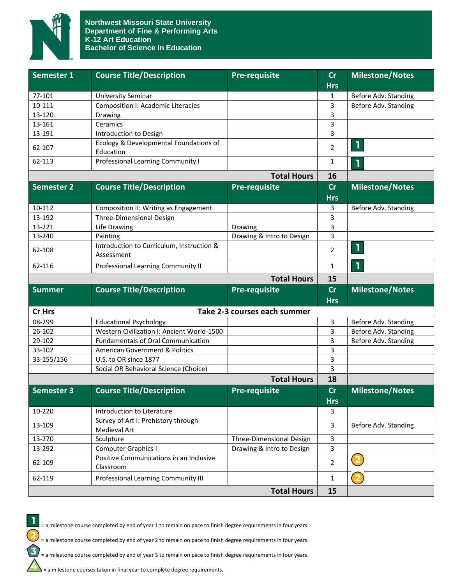

| Semester 1        | <b>Course Title/Description</b>                         | <b>Pre-requisite</b>         | cr             | <b>Milestone/Notes</b> |
|-------------------|---------------------------------------------------------|------------------------------|----------------|------------------------|
|                   |                                                         |                              | <b>Hrs</b>     |                        |
| 77-101            | <b>University Seminar</b>                               |                              | 1              | Before Adv. Standing   |
| 10-111            | <b>Composition I: Academic Literacies</b>               |                              | 3              | Before Adv. Standing   |
| 13-120            | Drawing                                                 |                              | 3              |                        |
| 13-161            | Ceramics                                                |                              | 3              |                        |
| 13-191            | Introduction to Design                                  |                              | 3              |                        |
| 62-107            | Ecology & Developmental Foundations of<br>Education     |                              | $\overline{2}$ | ı                      |
| 62-113            | <b>Professional Learning Community I</b>                |                              | $\mathbf{1}$   | 1                      |
|                   |                                                         | <b>Total Hours</b>           | 16             |                        |
| <b>Semester 2</b> | <b>Course Title/Description</b>                         | <b>Pre-requisite</b>         | cr             | <b>Milestone/Notes</b> |
|                   |                                                         |                              | <b>Hrs</b>     |                        |
| 10-112            | Composition II: Writing as Engagement                   |                              | 3              | Before Adv. Standing   |
| 13-192            | Three-Dimensional Design                                |                              | 3              |                        |
| 13-221            | Life Drawing                                            | Drawing                      | 3              |                        |
| 13-240            | Painting                                                | Drawing & Intro to Design    | 3              |                        |
| 62-108            | Introduction to Curriculum, Instruction &<br>Assessment |                              | $\overline{2}$ | $\mathbf{I}$           |
| 62-116            | Professional Learning Community II                      |                              | $\mathbf{1}$   | 1                      |
|                   |                                                         | <b>Total Hours</b>           | 15             |                        |
| <b>Summer</b>     | <b>Course Title/Description</b>                         | <b>Pre-requisite</b>         | cr             | <b>Milestone/Notes</b> |
|                   |                                                         |                              | <b>Hrs</b>     |                        |
| Cr Hrs            |                                                         | Take 2-3 courses each summer |                |                        |
| 08-299            | <b>Educational Psychology</b>                           |                              | 3              | Before Adv. Standing   |
| 26-102            | Western Civilization I: Ancient World-1500              |                              | 3              | Before Adv. Standing   |
| 29-102            | <b>Fundamentals of Oral Communication</b>               |                              | 3              | Before Adv. Standing   |
| 33-102            | <b>American Government &amp; Politics</b>               |                              | 3              |                        |
| 33-155/156        | U.S. to OR since 1877                                   |                              | 3              |                        |
|                   | Social OR Behavioral Science (Choice)                   |                              |                |                        |
|                   |                                                         |                              | 3              |                        |
|                   |                                                         | <b>Total Hours</b>           | 18             |                        |
| <b>Semester 3</b> | <b>Course Title/Description</b>                         | <b>Pre-requisite</b>         | cr             | <b>Milestone/Notes</b> |
|                   |                                                         |                              | <b>Hrs</b>     |                        |
| 10-220            | Introduction to Literature                              |                              | 3              |                        |
| 13-109            | Survey of Art I: Prehistory through<br>Medieval Art     |                              | 3              | Before Adv. Standing   |
| 13-270            | Sculpture                                               | Three-Dimensional Design     | 3              |                        |
| 13-292            | <b>Computer Graphics I</b>                              | Drawing & Intro to Design    | 3              |                        |
| 62-109            | Positive Communications in an Inclusive<br>Classroom    |                              | $\overline{2}$ |                        |
| 62-119            | Professional Learning Community III                     |                              | $\mathbf{1}$   |                        |



= a milestone course completed by end of year 1 to remain on pace to finish degree requirements in four years.

= a milestone course completed by end of year 2 to remain on pace to finish degree requirements in four years.

= a milestone course completed by end of year 3 to remain on pace to finish degree requirements in four years.

 $\sum$  = a milestone courses taken in final year to complete degree requirements.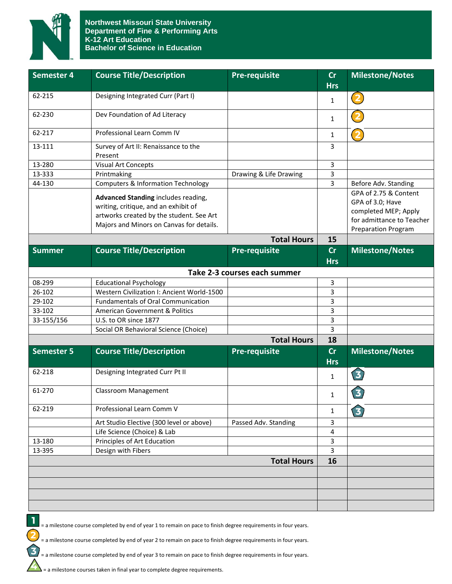

| <b>Semester 4</b> | <b>Course Title/Description</b>                                                                                                                                     | <b>Pre-requisite</b>         | cr<br><b>Hrs</b> | <b>Milestone/Notes</b>                                                                                                       |
|-------------------|---------------------------------------------------------------------------------------------------------------------------------------------------------------------|------------------------------|------------------|------------------------------------------------------------------------------------------------------------------------------|
| 62-215            | Designing Integrated Curr (Part I)                                                                                                                                  |                              | $\mathbf{1}$     | (2)                                                                                                                          |
| 62-230            | Dev Foundation of Ad Literacy                                                                                                                                       |                              | $\mathbf{1}$     |                                                                                                                              |
| 62-217            | Professional Learn Comm IV                                                                                                                                          |                              | 1                | $\overline{\mathbf{2}}$                                                                                                      |
| 13-111            | Survey of Art II: Renaissance to the<br>Present                                                                                                                     |                              | 3                |                                                                                                                              |
| 13-280            | <b>Visual Art Concepts</b>                                                                                                                                          |                              | 3                |                                                                                                                              |
| 13-333            | Printmaking                                                                                                                                                         | Drawing & Life Drawing       | 3                |                                                                                                                              |
| 44-130            | <b>Computers &amp; Information Technology</b>                                                                                                                       |                              | 3                | Before Adv. Standing                                                                                                         |
|                   | Advanced Standing includes reading,<br>writing, critique, and an exhibit of<br>artworks created by the student. See Art<br>Majors and Minors on Canvas for details. |                              |                  | GPA of 2.75 & Content<br>GPA of 3.0; Have<br>completed MEP; Apply<br>for admittance to Teacher<br><b>Preparation Program</b> |
|                   |                                                                                                                                                                     | <b>Total Hours</b>           | 15               |                                                                                                                              |
| <b>Summer</b>     | <b>Course Title/Description</b>                                                                                                                                     | <b>Pre-requisite</b>         | cr               | <b>Milestone/Notes</b>                                                                                                       |
|                   |                                                                                                                                                                     |                              | <b>Hrs</b>       |                                                                                                                              |
|                   |                                                                                                                                                                     | Take 2-3 courses each summer |                  |                                                                                                                              |
| 08-299            | <b>Educational Psychology</b>                                                                                                                                       |                              | 3                |                                                                                                                              |
| 26-102            | Western Civilization I: Ancient World-1500                                                                                                                          |                              | 3                |                                                                                                                              |
| 29-102            | <b>Fundamentals of Oral Communication</b>                                                                                                                           |                              | 3                |                                                                                                                              |
| 33-102            | American Government & Politics                                                                                                                                      |                              | 3                |                                                                                                                              |
| 33-155/156        | U.S. to OR since 1877                                                                                                                                               |                              | 3                |                                                                                                                              |
|                   | Social OR Behavioral Science (Choice)                                                                                                                               |                              | 3                |                                                                                                                              |
|                   |                                                                                                                                                                     | <b>Total Hours</b>           | 18               |                                                                                                                              |
| <b>Semester 5</b> | <b>Course Title/Description</b>                                                                                                                                     | <b>Pre-requisite</b>         | cr<br><b>Hrs</b> | <b>Milestone/Notes</b>                                                                                                       |
| 62-218            | Designing Integrated Curr Pt II                                                                                                                                     |                              | $\mathbf{1}$     | 3                                                                                                                            |
| 61-270            | <b>Classroom Management</b>                                                                                                                                         |                              | $\mathbf{1}$     | $\overline{\mathbf{3}}$                                                                                                      |
| 62-219            | Professional Learn Comm V                                                                                                                                           |                              | $\mathbf{1}$     | $\overline{\mathbf{3}}$                                                                                                      |
|                   | Art Studio Elective (300 level or above)                                                                                                                            | Passed Adv. Standing         | 3                |                                                                                                                              |
|                   | Life Science (Choice) & Lab                                                                                                                                         |                              | 4                |                                                                                                                              |
| 13-180            | Principles of Art Education                                                                                                                                         |                              | 3                |                                                                                                                              |
| 13-395            | Design with Fibers                                                                                                                                                  |                              | $\overline{3}$   |                                                                                                                              |
|                   |                                                                                                                                                                     | <b>Total Hours</b>           | 16               |                                                                                                                              |
|                   |                                                                                                                                                                     |                              |                  |                                                                                                                              |
|                   |                                                                                                                                                                     |                              |                  |                                                                                                                              |
|                   |                                                                                                                                                                     |                              |                  |                                                                                                                              |
|                   |                                                                                                                                                                     |                              |                  |                                                                                                                              |
|                   |                                                                                                                                                                     |                              |                  |                                                                                                                              |



= a milestone course completed by end of year 1 to remain on pace to finish degree requirements in four years.

,<br>= a milestone course completed by end of year 2 to remain on pace to finish degree requirements in four years.

= a milestone course completed by end of year 3 to remain on pace to finish degree requirements in four years.

 $\sum$  = a milestone courses taken in final year to complete degree requirements.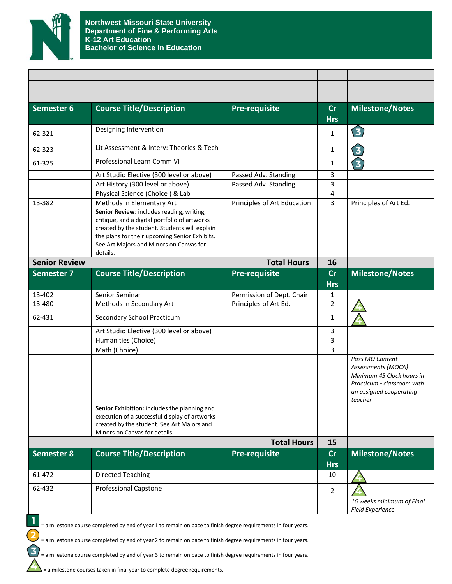

| Semester 6           | <b>Course Title/Description</b>                                                                                                                                              | <b>Pre-requisite</b>        | cr             | <b>Milestone/Notes</b>                                                                        |
|----------------------|------------------------------------------------------------------------------------------------------------------------------------------------------------------------------|-----------------------------|----------------|-----------------------------------------------------------------------------------------------|
|                      |                                                                                                                                                                              |                             | <b>Hrs</b>     |                                                                                               |
| 62-321               | Designing Intervention                                                                                                                                                       |                             | $\mathbf{1}$   | 3                                                                                             |
| 62-323               | Lit Assessment & Interv: Theories & Tech                                                                                                                                     |                             | $\mathbf{1}$   | $\mathbf{z}$                                                                                  |
| 61-325               | Professional Learn Comm VI                                                                                                                                                   |                             | 1              | $\overline{\mathbf{3}}$                                                                       |
|                      | Art Studio Elective (300 level or above)                                                                                                                                     | Passed Adv. Standing        | 3              |                                                                                               |
|                      | Art History (300 level or above)                                                                                                                                             | Passed Adv. Standing        | 3              |                                                                                               |
|                      | Physical Science (Choice) & Lab                                                                                                                                              |                             | 4              |                                                                                               |
| 13-382               | Methods in Elementary Art                                                                                                                                                    | Principles of Art Education | 3              | Principles of Art Ed.                                                                         |
|                      | Senior Review: includes reading, writing,                                                                                                                                    |                             |                |                                                                                               |
|                      | critique, and a digital portfolio of artworks<br>created by the student. Students will explain                                                                               |                             |                |                                                                                               |
|                      | the plans for their upcoming Senior Exhibits.                                                                                                                                |                             |                |                                                                                               |
|                      | See Art Majors and Minors on Canvas for                                                                                                                                      |                             |                |                                                                                               |
|                      | details.                                                                                                                                                                     |                             |                |                                                                                               |
| <b>Senior Review</b> |                                                                                                                                                                              | <b>Total Hours</b>          | 16             |                                                                                               |
| <b>Semester 7</b>    | <b>Course Title/Description</b>                                                                                                                                              | Pre-requisite               | cr             | <b>Milestone/Notes</b>                                                                        |
|                      |                                                                                                                                                                              |                             | <b>Hrs</b>     |                                                                                               |
| 13-402               | Senior Seminar                                                                                                                                                               | Permission of Dept. Chair   | 1              |                                                                                               |
| 13-480               | Methods in Secondary Art                                                                                                                                                     | Principles of Art Ed.       | 2              |                                                                                               |
| 62-431               | Secondary School Practicum                                                                                                                                                   |                             | $\mathbf{1}$   |                                                                                               |
|                      | Art Studio Elective (300 level or above)                                                                                                                                     |                             | 3              |                                                                                               |
|                      | Humanities (Choice)                                                                                                                                                          |                             | 3              |                                                                                               |
|                      | Math (Choice)                                                                                                                                                                |                             | 3              |                                                                                               |
|                      |                                                                                                                                                                              |                             |                | Pass MO Content<br>Assessments (MOCA)                                                         |
|                      |                                                                                                                                                                              |                             |                | Minimum 45 Clock hours in<br>Practicum - classroom with<br>an assigned cooperating<br>teacher |
|                      | Senior Exhibition: includes the planning and<br>execution of a successful display of artworks<br>created by the student. See Art Majors and<br>Minors on Canvas for details. |                             |                |                                                                                               |
|                      |                                                                                                                                                                              | <b>Total Hours</b>          | 15             |                                                                                               |
| <b>Semester 8</b>    | <b>Course Title/Description</b>                                                                                                                                              | <b>Pre-requisite</b>        | cr             | <b>Milestone/Notes</b>                                                                        |
|                      |                                                                                                                                                                              |                             | <b>Hrs</b>     |                                                                                               |
| 61-472               | <b>Directed Teaching</b>                                                                                                                                                     |                             | 10             |                                                                                               |
| 62-432               | <b>Professional Capstone</b>                                                                                                                                                 |                             | $\overline{2}$ |                                                                                               |
|                      |                                                                                                                                                                              |                             |                | 16 weeks minimum of Final<br><b>Field Experience</b>                                          |



 $\frac{1}{2}$  = a milestone course completed by end of year 1 to remain on pace to finish degree requirements in four years.

= a milestone course completed by end of year 2 to remain on pace to finish degree requirements in four years.

= a milestone course completed by end of year 3 to remain on pace to finish degree requirements in four years.

= a milestone courses taken in final year to complete degree requirements.